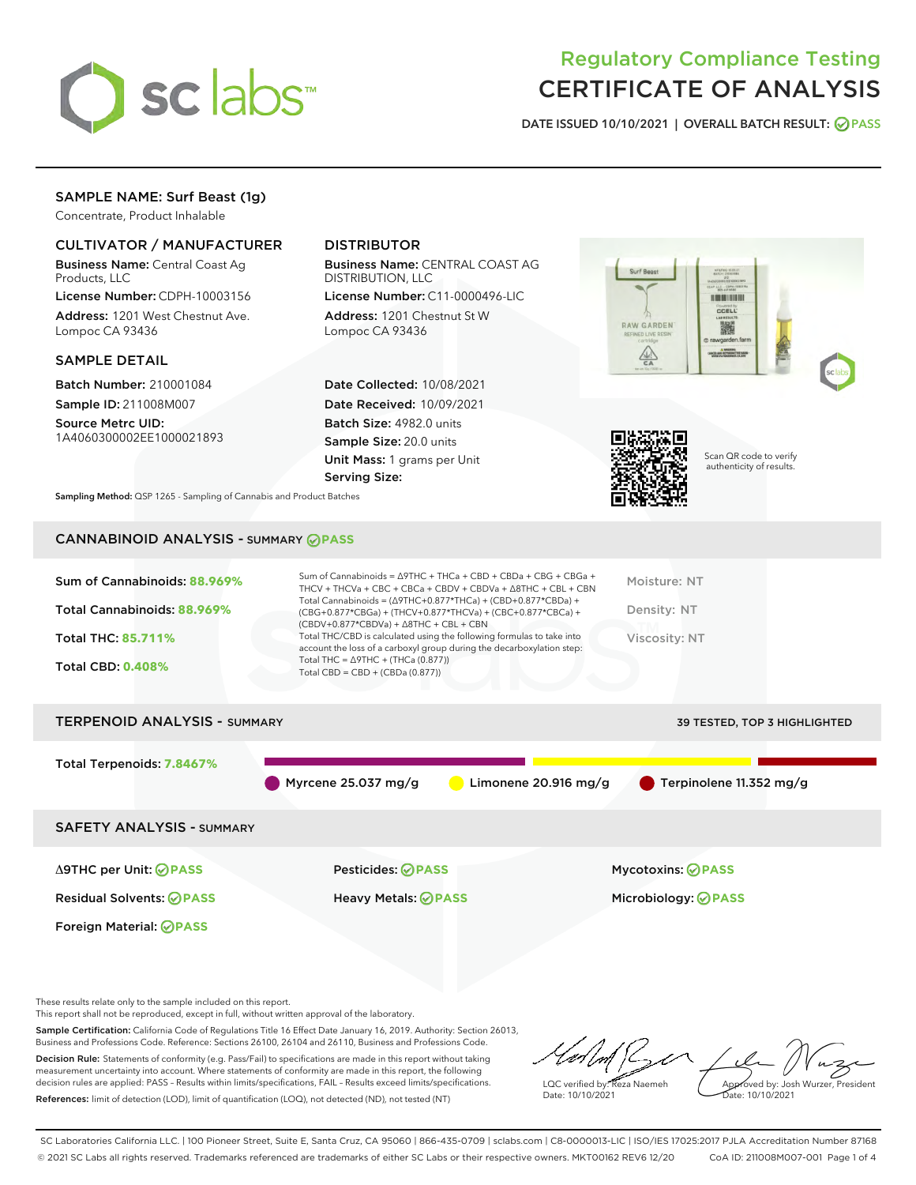

# Regulatory Compliance Testing CERTIFICATE OF ANALYSIS

DATE ISSUED 10/10/2021 | OVERALL BATCH RESULT: @ PASS

## SAMPLE NAME: Surf Beast (1g)

Concentrate, Product Inhalable

## CULTIVATOR / MANUFACTURER

Business Name: Central Coast Ag Products, LLC

License Number: CDPH-10003156 Address: 1201 West Chestnut Ave. Lompoc CA 93436

#### SAMPLE DETAIL

Batch Number: 210001084 Sample ID: 211008M007

Source Metrc UID: 1A4060300002EE1000021893

## DISTRIBUTOR

Business Name: CENTRAL COAST AG DISTRIBUTION, LLC

License Number: C11-0000496-LIC Address: 1201 Chestnut St W Lompoc CA 93436

Date Collected: 10/08/2021 Date Received: 10/09/2021 Batch Size: 4982.0 units Sample Size: 20.0 units Unit Mass: 1 grams per Unit Serving Size:





Scan QR code to verify authenticity of results.

Sampling Method: QSP 1265 - Sampling of Cannabis and Product Batches

## CANNABINOID ANALYSIS - SUMMARY **PASS**

| Sum of Cannabinoids: 88.969%<br>Total Cannabinoids: 88.969%<br><b>Total THC: 85,711%</b><br><b>Total CBD: 0.408%</b> | Sum of Cannabinoids = $\triangle$ 9THC + THCa + CBD + CBDa + CBG + CBGa +<br>THCV + THCVa + CBC + CBCa + CBDV + CBDVa + A8THC + CBL + CBN<br>Total Cannabinoids = $(\Delta$ 9THC+0.877*THCa) + (CBD+0.877*CBDa) +<br>(CBG+0.877*CBGa) + (THCV+0.877*THCVa) + (CBC+0.877*CBCa) +<br>$(CBDV+0.877*CBDVa) + \Delta 8THC + CBL + CBN$<br>Total THC/CBD is calculated using the following formulas to take into<br>account the loss of a carboxyl group during the decarboxylation step:<br>Total THC = $\triangle$ 9THC + (THCa (0.877))<br>Total CBD = $CBD + (CBDa (0.877))$ | Moisture: NT<br>Density: NT<br>Viscosity: NT |  |  |  |  |
|----------------------------------------------------------------------------------------------------------------------|----------------------------------------------------------------------------------------------------------------------------------------------------------------------------------------------------------------------------------------------------------------------------------------------------------------------------------------------------------------------------------------------------------------------------------------------------------------------------------------------------------------------------------------------------------------------------|----------------------------------------------|--|--|--|--|
| <b>TERPENOID ANALYSIS - SUMMARY</b><br>39 TESTED, TOP 3 HIGHLIGHTED                                                  |                                                                                                                                                                                                                                                                                                                                                                                                                                                                                                                                                                            |                                              |  |  |  |  |
| Total Terpenoids: 7.8467%                                                                                            | Myrcene $25.037$ mg/g<br>Limonene $20.916$ mg/g                                                                                                                                                                                                                                                                                                                                                                                                                                                                                                                            | Terpinolene 11.352 mg/g                      |  |  |  |  |
| <b>SAFETY ANALYSIS - SUMMARY</b>                                                                                     |                                                                                                                                                                                                                                                                                                                                                                                                                                                                                                                                                                            |                                              |  |  |  |  |
| $\triangle$ 9THC per Unit: $\oslash$ PASS                                                                            | Pesticides: ⊘PASS                                                                                                                                                                                                                                                                                                                                                                                                                                                                                                                                                          | Mycotoxins: ⊘PASS                            |  |  |  |  |

Residual Solvents: **PASS** Heavy Metals: **PASS** Microbiology: **PASS**

Foreign Material: **PASS**

These results relate only to the sample included on this report.

This report shall not be reproduced, except in full, without written approval of the laboratory.

Sample Certification: California Code of Regulations Title 16 Effect Date January 16, 2019. Authority: Section 26013, Business and Professions Code. Reference: Sections 26100, 26104 and 26110, Business and Professions Code. Decision Rule: Statements of conformity (e.g. Pass/Fail) to specifications are made in this report without taking

measurement uncertainty into account. Where statements of conformity are made in this report, the following decision rules are applied: PASS – Results within limits/specifications, FAIL – Results exceed limits/specifications. References: limit of detection (LOD), limit of quantification (LOQ), not detected (ND), not tested (NT)

LQC verified by: Reza Naemeh Date: 10/10/2021 Approved by: Josh Wurzer, President ate: 10/10/2021

SC Laboratories California LLC. | 100 Pioneer Street, Suite E, Santa Cruz, CA 95060 | 866-435-0709 | sclabs.com | C8-0000013-LIC | ISO/IES 17025:2017 PJLA Accreditation Number 87168 © 2021 SC Labs all rights reserved. Trademarks referenced are trademarks of either SC Labs or their respective owners. MKT00162 REV6 12/20 CoA ID: 211008M007-001 Page 1 of 4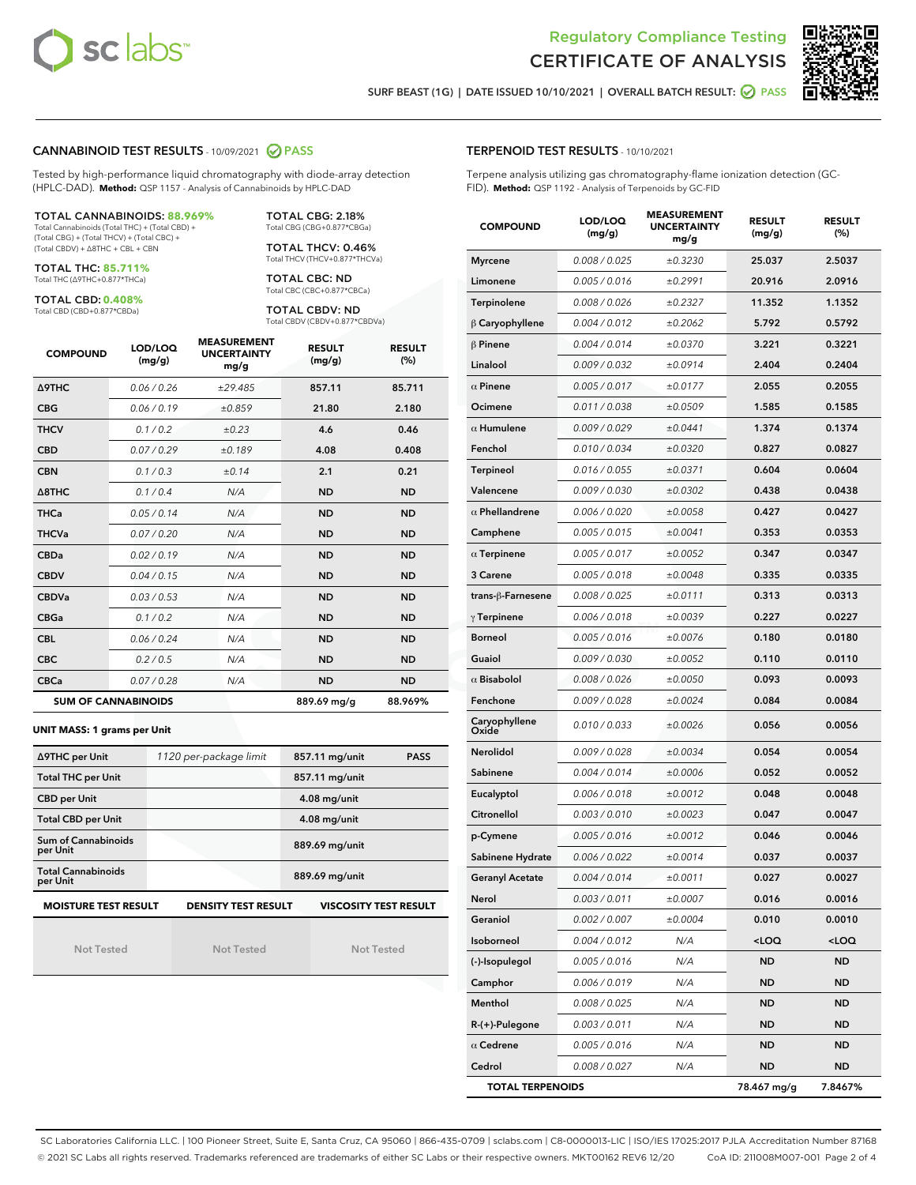



SURF BEAST (1G) | DATE ISSUED 10/10/2021 | OVERALL BATCH RESULT: @ PASS

#### CANNABINOID TEST RESULTS - 10/09/2021 2 PASS

Tested by high-performance liquid chromatography with diode-array detection (HPLC-DAD). **Method:** QSP 1157 - Analysis of Cannabinoids by HPLC-DAD

#### TOTAL CANNABINOIDS: **88.969%**

Total Cannabinoids (Total THC) + (Total CBD) + (Total CBG) + (Total THCV) + (Total CBC) + (Total CBDV) + ∆8THC + CBL + CBN

TOTAL THC: **85.711%** Total THC (∆9THC+0.877\*THCa)

TOTAL CBD: **0.408%**

Total CBD (CBD+0.877\*CBDa)

TOTAL CBG: 2.18% Total CBG (CBG+0.877\*CBGa)

TOTAL THCV: 0.46% Total THCV (THCV+0.877\*THCVa)

TOTAL CBC: ND Total CBC (CBC+0.877\*CBCa)

TOTAL CBDV: ND Total CBDV (CBDV+0.877\*CBDVa)

| <b>COMPOUND</b>  | LOD/LOQ<br>(mg/g)          | <b>MEASUREMENT</b><br><b>UNCERTAINTY</b><br>mg/g | <b>RESULT</b><br>(mg/g) | <b>RESULT</b><br>(%) |
|------------------|----------------------------|--------------------------------------------------|-------------------------|----------------------|
| Δ9THC            | 0.06 / 0.26                | ±29.485                                          | 857.11                  | 85.711               |
| <b>CBG</b>       | 0.06/0.19                  | ±0.859                                           | 21.80                   | 2.180                |
| <b>THCV</b>      | 0.1/0.2                    | $\pm 0.23$                                       | 4.6                     | 0.46                 |
| <b>CBD</b>       | 0.07/0.29                  | ±0.189                                           | 4.08                    | 0.408                |
| <b>CBN</b>       | 0.1 / 0.3                  | ±0.14                                            | 2.1                     | 0.21                 |
| $\triangle$ 8THC | 0.1/0.4                    | N/A                                              | <b>ND</b>               | <b>ND</b>            |
| <b>THCa</b>      | 0.05/0.14                  | N/A                                              | <b>ND</b>               | <b>ND</b>            |
| <b>THCVa</b>     | 0.07 / 0.20                | N/A                                              | <b>ND</b>               | <b>ND</b>            |
| <b>CBDa</b>      | 0.02/0.19                  | N/A                                              | <b>ND</b>               | <b>ND</b>            |
| <b>CBDV</b>      | 0.04 / 0.15                | N/A                                              | <b>ND</b>               | <b>ND</b>            |
| <b>CBDVa</b>     | 0.03/0.53                  | N/A                                              | <b>ND</b>               | <b>ND</b>            |
| <b>CBGa</b>      | 0.1/0.2                    | N/A                                              | <b>ND</b>               | <b>ND</b>            |
| <b>CBL</b>       | 0.06 / 0.24                | N/A                                              | <b>ND</b>               | <b>ND</b>            |
| <b>CBC</b>       | 0.2 / 0.5                  | N/A                                              | <b>ND</b>               | <b>ND</b>            |
| <b>CBCa</b>      | 0.07/0.28                  | N/A                                              | <b>ND</b>               | <b>ND</b>            |
|                  | <b>SUM OF CANNABINOIDS</b> |                                                  | 889.69 mg/g             | 88.969%              |

**UNIT MASS: 1 grams per Unit**

| ∆9THC per Unit                        | 1120 per-package limit     | 857.11 mg/unit<br><b>PASS</b> |  |  |
|---------------------------------------|----------------------------|-------------------------------|--|--|
| <b>Total THC per Unit</b>             |                            | 857.11 mg/unit                |  |  |
| <b>CBD per Unit</b>                   |                            | 4.08 mg/unit                  |  |  |
| <b>Total CBD per Unit</b>             |                            | $4.08$ mg/unit                |  |  |
| Sum of Cannabinoids<br>per Unit       |                            | 889.69 mg/unit                |  |  |
| <b>Total Cannabinoids</b><br>per Unit |                            | 889.69 mg/unit                |  |  |
| <b>MOISTURE TEST RESULT</b>           | <b>DENSITY TEST RESULT</b> | <b>VISCOSITY TEST RESULT</b>  |  |  |

Not Tested

| <b>Not Tested</b> |
|-------------------|

Not Tested

| <b>TERPENOID TEST RESULTS - 10/10/2021</b> |  |  |
|--------------------------------------------|--|--|
|                                            |  |  |

Terpene analysis utilizing gas chromatography-flame ionization detection (GC-FID). **Method:** QSP 1192 - Analysis of Terpenoids by GC-FID

| <b>COMPOUND</b>         | LOD/LOQ<br>(mg/g) | <b>MEASUREMENT</b><br><b>UNCERTAINTY</b><br>mg/g | <b>RESULT</b><br>(mg/g)                          | <b>RESULT</b><br>(%) |
|-------------------------|-------------------|--------------------------------------------------|--------------------------------------------------|----------------------|
| <b>Myrcene</b>          | 0.008 / 0.025     | ±0.3230                                          | 25.037                                           | 2.5037               |
| Limonene                | 0.005 / 0.016     | ±0.2991                                          | 20.916                                           | 2.0916               |
| Terpinolene             | 0.008 / 0.026     | ±0.2327                                          | 11.352                                           | 1.1352               |
| $\beta$ Caryophyllene   | 0.004 / 0.012     | ±0.2062                                          | 5.792                                            | 0.5792               |
| $\beta$ Pinene          | 0.004 / 0.014     | ±0.0370                                          | 3.221                                            | 0.3221               |
| Linalool                | 0.009 / 0.032     | ±0.0914                                          | 2.404                                            | 0.2404               |
| $\alpha$ Pinene         | 0.005 / 0.017     | ±0.0177                                          | 2.055                                            | 0.2055               |
| Ocimene                 | 0.011 / 0.038     | ±0.0509                                          | 1.585                                            | 0.1585               |
| $\alpha$ Humulene       | 0.009 / 0.029     | ±0.0441                                          | 1.374                                            | 0.1374               |
| Fenchol                 | 0.010 / 0.034     | ±0.0320                                          | 0.827                                            | 0.0827               |
| <b>Terpineol</b>        | 0.016 / 0.055     | ±0.0371                                          | 0.604                                            | 0.0604               |
| Valencene               | 0.009 / 0.030     | ±0.0302                                          | 0.438                                            | 0.0438               |
| $\alpha$ Phellandrene   | 0.006 / 0.020     | ±0.0058                                          | 0.427                                            | 0.0427               |
| Camphene                | 0.005 / 0.015     | ±0.0041                                          | 0.353                                            | 0.0353               |
| $\alpha$ Terpinene      | 0.005 / 0.017     | ±0.0052                                          | 0.347                                            | 0.0347               |
| 3 Carene                | 0.005 / 0.018     | ±0.0048                                          | 0.335                                            | 0.0335               |
| trans-ß-Farnesene       | 0.008 / 0.025     | ±0.0111                                          | 0.313                                            | 0.0313               |
| $\gamma$ Terpinene      | 0.006 / 0.018     | ±0.0039                                          | 0.227                                            | 0.0227               |
| <b>Borneol</b>          | 0.005 / 0.016     | ±0.0076                                          | 0.180                                            | 0.0180               |
| Guaiol                  | 0.009 / 0.030     | ±0.0052                                          | 0.110                                            | 0.0110               |
| $\alpha$ Bisabolol      | 0.008 / 0.026     | ±0.0050                                          | 0.093                                            | 0.0093               |
| Fenchone                | 0.009 / 0.028     | ±0.0024                                          | 0.084                                            | 0.0084               |
| Caryophyllene<br>Oxide  | 0.010 / 0.033     | ±0.0026                                          | 0.056                                            | 0.0056               |
| <b>Nerolidol</b>        | 0.009 / 0.028     | ±0.0034                                          | 0.054                                            | 0.0054               |
| Sabinene                | 0.004 / 0.014     | ±0.0006                                          | 0.052                                            | 0.0052               |
| Eucalyptol              | 0.006 / 0.018     | ±0.0012                                          | 0.048                                            | 0.0048               |
| Citronellol             | 0.003 / 0.010     | ±0.0023                                          | 0.047                                            | 0.0047               |
| p-Cymene                | 0.005 / 0.016     | ±0.0012                                          | 0.046                                            | 0.0046               |
| Sabinene Hydrate        | 0.006 / 0.022     | ±0.0014                                          | 0.037                                            | 0.0037               |
| <b>Geranyl Acetate</b>  | 0.004 / 0.014     | ±0.0011                                          | 0.027                                            | 0.0027               |
| Nerol                   | 0.003 / 0.011     | ±0.0007                                          | 0.016                                            | 0.0016               |
| Geraniol                | 0.002 / 0.007     | ±0.0004                                          | 0.010                                            | 0.0010               |
| Isoborneol              | 0.004 / 0.012     | N/A                                              | <loq< th=""><th><math>&lt;</math>LOQ</th></loq<> | $<$ LOQ              |
| (-)-Isopulegol          | 0.005 / 0.016     | N/A                                              | ND                                               | <b>ND</b>            |
| Camphor                 | 0.006 / 0.019     | N/A                                              | ND                                               | ND                   |
| Menthol                 | 0.008 / 0.025     | N/A                                              | <b>ND</b>                                        | ND                   |
| $R-(+)$ -Pulegone       | 0.003 / 0.011     | N/A                                              | ND                                               | <b>ND</b>            |
| $\alpha$ Cedrene        | 0.005 / 0.016     | N/A                                              | ND                                               | <b>ND</b>            |
| Cedrol                  | 0.008 / 0.027     | N/A                                              | <b>ND</b>                                        | ND                   |
| <b>TOTAL TERPENOIDS</b> |                   |                                                  | 78.467 mg/g                                      | 7.8467%              |

SC Laboratories California LLC. | 100 Pioneer Street, Suite E, Santa Cruz, CA 95060 | 866-435-0709 | sclabs.com | C8-0000013-LIC | ISO/IES 17025:2017 PJLA Accreditation Number 87168 © 2021 SC Labs all rights reserved. Trademarks referenced are trademarks of either SC Labs or their respective owners. MKT00162 REV6 12/20 CoA ID: 211008M007-001 Page 2 of 4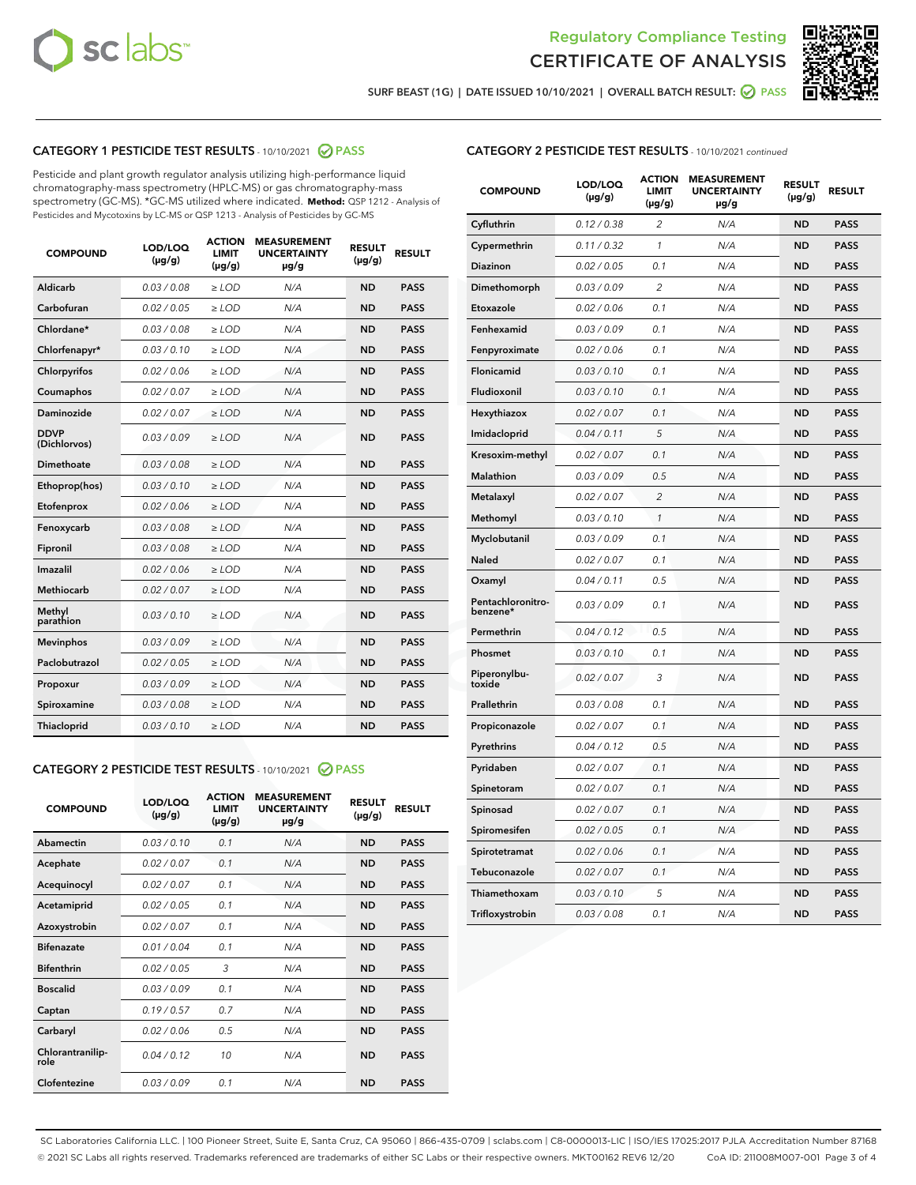



SURF BEAST (1G) | DATE ISSUED 10/10/2021 | OVERALL BATCH RESULT: 2 PASS

## CATEGORY 1 PESTICIDE TEST RESULTS - 10/10/2021 2 PASS

Pesticide and plant growth regulator analysis utilizing high-performance liquid chromatography-mass spectrometry (HPLC-MS) or gas chromatography-mass spectrometry (GC-MS). \*GC-MS utilized where indicated. **Method:** QSP 1212 - Analysis of Pesticides and Mycotoxins by LC-MS or QSP 1213 - Analysis of Pesticides by GC-MS

| <b>COMPOUND</b>             | LOD/LOQ<br>$(\mu g/g)$ | <b>ACTION</b><br><b>LIMIT</b><br>$(\mu g/g)$ | <b>MEASUREMENT</b><br><b>UNCERTAINTY</b><br>$\mu$ g/g | <b>RESULT</b><br>$(\mu g/g)$ | <b>RESULT</b> |
|-----------------------------|------------------------|----------------------------------------------|-------------------------------------------------------|------------------------------|---------------|
| Aldicarb                    | 0.03 / 0.08            | $\ge$ LOD                                    | N/A                                                   | <b>ND</b>                    | <b>PASS</b>   |
| Carbofuran                  | 0.02 / 0.05            | $\ge$ LOD                                    | N/A                                                   | <b>ND</b>                    | <b>PASS</b>   |
| Chlordane*                  | 0.03 / 0.08            | $\ge$ LOD                                    | N/A                                                   | <b>ND</b>                    | <b>PASS</b>   |
| Chlorfenapyr*               | 0.03/0.10              | $\ge$ LOD                                    | N/A                                                   | <b>ND</b>                    | <b>PASS</b>   |
| Chlorpyrifos                | 0.02 / 0.06            | $\ge$ LOD                                    | N/A                                                   | <b>ND</b>                    | <b>PASS</b>   |
| Coumaphos                   | 0.02 / 0.07            | $\ge$ LOD                                    | N/A                                                   | <b>ND</b>                    | <b>PASS</b>   |
| Daminozide                  | 0.02 / 0.07            | $\ge$ LOD                                    | N/A                                                   | <b>ND</b>                    | <b>PASS</b>   |
| <b>DDVP</b><br>(Dichlorvos) | 0.03/0.09              | $\ge$ LOD                                    | N/A                                                   | <b>ND</b>                    | <b>PASS</b>   |
| Dimethoate                  | 0.03 / 0.08            | $\ge$ LOD                                    | N/A                                                   | <b>ND</b>                    | <b>PASS</b>   |
| Ethoprop(hos)               | 0.03/0.10              | $\ge$ LOD                                    | N/A                                                   | <b>ND</b>                    | <b>PASS</b>   |
| Etofenprox                  | 0.02/0.06              | $>$ LOD                                      | N/A                                                   | <b>ND</b>                    | <b>PASS</b>   |
| Fenoxycarb                  | 0.03 / 0.08            | $>$ LOD                                      | N/A                                                   | <b>ND</b>                    | <b>PASS</b>   |
| Fipronil                    | 0.03 / 0.08            | $>$ LOD                                      | N/A                                                   | <b>ND</b>                    | <b>PASS</b>   |
| Imazalil                    | 0.02 / 0.06            | $>$ LOD                                      | N/A                                                   | <b>ND</b>                    | <b>PASS</b>   |
| <b>Methiocarb</b>           | 0.02 / 0.07            | $\ge$ LOD                                    | N/A                                                   | <b>ND</b>                    | <b>PASS</b>   |
| Methyl<br>parathion         | 0.03/0.10              | $\ge$ LOD                                    | N/A                                                   | <b>ND</b>                    | <b>PASS</b>   |
| <b>Mevinphos</b>            | 0.03/0.09              | $\ge$ LOD                                    | N/A                                                   | <b>ND</b>                    | <b>PASS</b>   |
| Paclobutrazol               | 0.02 / 0.05            | $\ge$ LOD                                    | N/A                                                   | <b>ND</b>                    | <b>PASS</b>   |
| Propoxur                    | 0.03/0.09              | $\ge$ LOD                                    | N/A                                                   | <b>ND</b>                    | <b>PASS</b>   |
| Spiroxamine                 | 0.03 / 0.08            | $\ge$ LOD                                    | N/A                                                   | <b>ND</b>                    | <b>PASS</b>   |
| Thiacloprid                 | 0.03/0.10              | $\ge$ LOD                                    | N/A                                                   | <b>ND</b>                    | <b>PASS</b>   |

#### CATEGORY 2 PESTICIDE TEST RESULTS - 10/10/2021 @ PASS

| <b>COMPOUND</b>          | LOD/LOQ<br>$(\mu g/g)$ | <b>ACTION</b><br><b>LIMIT</b><br>$(\mu g/g)$ | <b>MEASUREMENT</b><br><b>UNCERTAINTY</b><br>$\mu$ g/g | <b>RESULT</b><br>$(\mu g/g)$ | <b>RESULT</b> |
|--------------------------|------------------------|----------------------------------------------|-------------------------------------------------------|------------------------------|---------------|
| Abamectin                | 0.03/0.10              | 0.1                                          | N/A                                                   | <b>ND</b>                    | <b>PASS</b>   |
| Acephate                 | 0.02/0.07              | 0.1                                          | N/A                                                   | <b>ND</b>                    | <b>PASS</b>   |
| Acequinocyl              | 0.02/0.07              | 0.1                                          | N/A                                                   | <b>ND</b>                    | <b>PASS</b>   |
| Acetamiprid              | 0.02/0.05              | 0.1                                          | N/A                                                   | <b>ND</b>                    | <b>PASS</b>   |
| Azoxystrobin             | 0.02/0.07              | 0.1                                          | N/A                                                   | <b>ND</b>                    | <b>PASS</b>   |
| <b>Bifenazate</b>        | 0.01/0.04              | 0.1                                          | N/A                                                   | <b>ND</b>                    | <b>PASS</b>   |
| <b>Bifenthrin</b>        | 0.02 / 0.05            | 3                                            | N/A                                                   | <b>ND</b>                    | <b>PASS</b>   |
| <b>Boscalid</b>          | 0.03/0.09              | 0.1                                          | N/A                                                   | <b>ND</b>                    | <b>PASS</b>   |
| Captan                   | 0.19/0.57              | 0.7                                          | N/A                                                   | <b>ND</b>                    | <b>PASS</b>   |
| Carbaryl                 | 0.02/0.06              | 0.5                                          | N/A                                                   | <b>ND</b>                    | <b>PASS</b>   |
| Chlorantranilip-<br>role | 0.04/0.12              | 10                                           | N/A                                                   | <b>ND</b>                    | <b>PASS</b>   |
| Clofentezine             | 0.03/0.09              | 0.1                                          | N/A                                                   | <b>ND</b>                    | <b>PASS</b>   |

| <b>CATEGORY 2 PESTICIDE TEST RESULTS</b> - 10/10/2021 continued |
|-----------------------------------------------------------------|
|                                                                 |

| <b>COMPOUND</b>               | LOD/LOQ<br>(µg/g) | <b>ACTION</b><br><b>LIMIT</b><br>(µg/g) | <b>MEASUREMENT</b><br><b>UNCERTAINTY</b><br>µg/g | <b>RESULT</b><br>(µg/g) | <b>RESULT</b> |
|-------------------------------|-------------------|-----------------------------------------|--------------------------------------------------|-------------------------|---------------|
| Cyfluthrin                    | 0.12 / 0.38       | 2                                       | N/A                                              | <b>ND</b>               | <b>PASS</b>   |
| Cypermethrin                  | 0.11 / 0.32       | 1                                       | N/A                                              | <b>ND</b>               | <b>PASS</b>   |
| Diazinon                      | 0.02 / 0.05       | 0.1                                     | N/A                                              | <b>ND</b>               | <b>PASS</b>   |
| Dimethomorph                  | 0.03 / 0.09       | 2                                       | N/A                                              | <b>ND</b>               | <b>PASS</b>   |
| Etoxazole                     | 0.02 / 0.06       | 0.1                                     | N/A                                              | <b>ND</b>               | <b>PASS</b>   |
| Fenhexamid                    | 0.03 / 0.09       | 0.1                                     | N/A                                              | <b>ND</b>               | <b>PASS</b>   |
| Fenpyroximate                 | 0.02 / 0.06       | 0.1                                     | N/A                                              | <b>ND</b>               | <b>PASS</b>   |
| Flonicamid                    | 0.03 / 0.10       | 0.1                                     | N/A                                              | <b>ND</b>               | <b>PASS</b>   |
| Fludioxonil                   | 0.03/0.10         | 0.1                                     | N/A                                              | <b>ND</b>               | <b>PASS</b>   |
| Hexythiazox                   | 0.02 / 0.07       | 0.1                                     | N/A                                              | <b>ND</b>               | <b>PASS</b>   |
| Imidacloprid                  | 0.04 / 0.11       | 5                                       | N/A                                              | <b>ND</b>               | <b>PASS</b>   |
| Kresoxim-methyl               | 0.02 / 0.07       | 0.1                                     | N/A                                              | <b>ND</b>               | <b>PASS</b>   |
| Malathion                     | 0.03 / 0.09       | 0.5                                     | N/A                                              | <b>ND</b>               | <b>PASS</b>   |
| Metalaxyl                     | 0.02 / 0.07       | $\overline{c}$                          | N/A                                              | <b>ND</b>               | <b>PASS</b>   |
| Methomyl                      | 0.03 / 0.10       | $\mathcal{I}$                           | N/A                                              | <b>ND</b>               | <b>PASS</b>   |
| Myclobutanil                  | 0.03 / 0.09       | 0.1                                     | N/A                                              | <b>ND</b>               | <b>PASS</b>   |
| <b>Naled</b>                  | 0.02 / 0.07       | 0.1                                     | N/A                                              | <b>ND</b>               | <b>PASS</b>   |
| Oxamyl                        | 0.04 / 0.11       | 0.5                                     | N/A                                              | ND                      | <b>PASS</b>   |
| Pentachloronitro-<br>benzene* | 0.03 / 0.09       | 0.1                                     | N/A                                              | <b>ND</b>               | <b>PASS</b>   |
| Permethrin                    | 0.04 / 0.12       | 0.5                                     | N/A                                              | <b>ND</b>               | <b>PASS</b>   |
| Phosmet                       | 0.03/0.10         | 0.1                                     | N/A                                              | <b>ND</b>               | <b>PASS</b>   |
| Piperonylbu-<br>toxide        | 0.02 / 0.07       | 3                                       | N/A                                              | <b>ND</b>               | <b>PASS</b>   |
| Prallethrin                   | 0.03 / 0.08       | 0.1                                     | N/A                                              | <b>ND</b>               | <b>PASS</b>   |
| Propiconazole                 | 0.02 / 0.07       | 0.1                                     | N/A                                              | <b>ND</b>               | <b>PASS</b>   |
| Pyrethrins                    | 0.04 / 0.12       | 0.5                                     | N/A                                              | <b>ND</b>               | <b>PASS</b>   |
| Pyridaben                     | 0.02 / 0.07       | 0.1                                     | N/A                                              | <b>ND</b>               | <b>PASS</b>   |
| Spinetoram                    | 0.02 / 0.07       | 0.1                                     | N/A                                              | <b>ND</b>               | <b>PASS</b>   |
| Spinosad                      | 0.02 / 0.07       | 0.1                                     | N/A                                              | <b>ND</b>               | <b>PASS</b>   |
| Spiromesifen                  | 0.02 / 0.05       | 0.1                                     | N/A                                              | <b>ND</b>               | <b>PASS</b>   |
| Spirotetramat                 | 0.02 / 0.06       | 0.1                                     | N/A                                              | <b>ND</b>               | <b>PASS</b>   |
| Tebuconazole                  | 0.02 / 0.07       | 0.1                                     | N/A                                              | ND                      | <b>PASS</b>   |
| Thiamethoxam                  | 0.03 / 0.10       | 5                                       | N/A                                              | <b>ND</b>               | <b>PASS</b>   |
| Trifloxystrobin               | 0.03 / 0.08       | 0.1                                     | N/A                                              | <b>ND</b>               | <b>PASS</b>   |

SC Laboratories California LLC. | 100 Pioneer Street, Suite E, Santa Cruz, CA 95060 | 866-435-0709 | sclabs.com | C8-0000013-LIC | ISO/IES 17025:2017 PJLA Accreditation Number 87168 © 2021 SC Labs all rights reserved. Trademarks referenced are trademarks of either SC Labs or their respective owners. MKT00162 REV6 12/20 CoA ID: 211008M007-001 Page 3 of 4